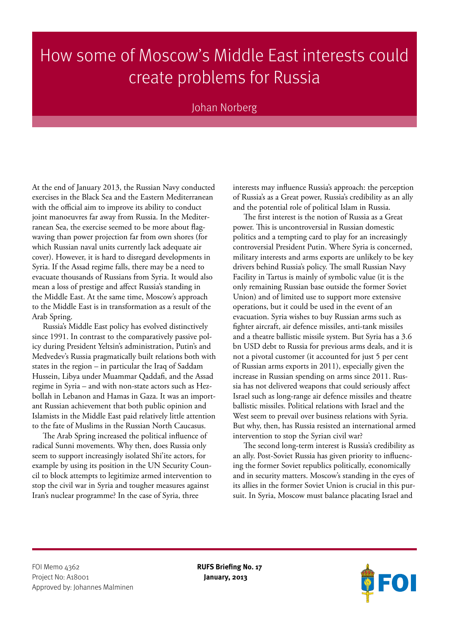## How some of Moscow's Middle East interests could create problems for Russia

## Johan Norberg

At the end of January 2013, the Russian Navy conducted exercises in the Black Sea and the Eastern Mediterranean with the official aim to improve its ability to conduct joint manoeuvres far away from Russia. In the Mediterranean Sea, the exercise seemed to be more about flagwaving than power projection far from own shores (for which Russian naval units currently lack adequate air cover). However, it is hard to disregard developments in Syria. If the Assad regime falls, there may be a need to evacuate thousands of Russians from Syria. It would also mean a loss of prestige and affect Russia's standing in the Middle East. At the same time, Moscow's approach to the Middle East is in transformation as a result of the Arab Spring.

Russia's Middle East policy has evolved distinctively since 1991. In contrast to the comparatively passive policy during President Yeltsin's administration, Putin's and Medvedev's Russia pragmatically built relations both with states in the region – in particular the Iraq of Saddam Hussein, Libya under Muammar Qaddafi, and the Assad regime in Syria – and with non-state actors such as Hezbollah in Lebanon and Hamas in Gaza. It was an important Russian achievement that both public opinion and Islamists in the Middle East paid relatively little attention to the fate of Muslims in the Russian North Caucasus.

The Arab Spring increased the political influence of radical Sunni movements. Why then, does Russia only seem to support increasingly isolated Shi'ite actors, for example by using its position in the UN Security Council to block attempts to legitimize armed intervention to stop the civil war in Syria and tougher measures against Iran's nuclear programme? In the case of Syria, three

interests may influence Russia's approach: the perception of Russia's as a Great power, Russia's credibility as an ally and the potential role of political Islam in Russia.

The first interest is the notion of Russia as a Great power. This is uncontroversial in Russian domestic politics and a tempting card to play for an increasingly controversial President Putin. Where Syria is concerned, military interests and arms exports are unlikely to be key drivers behind Russia's policy. The small Russian Navy Facility in Tartus is mainly of symbolic value (it is the only remaining Russian base outside the former Soviet Union) and of limited use to support more extensive operations, but it could be used in the event of an evacuation. Syria wishes to buy Russian arms such as fighter aircraft, air defence missiles, anti-tank missiles and a theatre ballistic missile system. But Syria has a 3.6 bn USD debt to Russia for previous arms deals, and it is not a pivotal customer (it accounted for just 5 per cent of Russian arms exports in 2011), especially given the increase in Russian spending on arms since 2011. Russia has not delivered weapons that could seriously affect Israel such as long-range air defence missiles and theatre ballistic missiles. Political relations with Israel and the West seem to prevail over business relations with Syria. But why, then, has Russia resisted an international armed intervention to stop the Syrian civil war?

The second long-term interest is Russia's credibility as an ally. Post-Soviet Russia has given priority to influencing the former Soviet republics politically, economically and in security matters. Moscow's standing in the eyes of its allies in the former Soviet Union is crucial in this pursuit. In Syria, Moscow must balance placating Israel and

FOI Memo 4362 **RUFS Briefing No. 17** Project No: A18001 **January, 2013** Approved by: Johannes Malminen